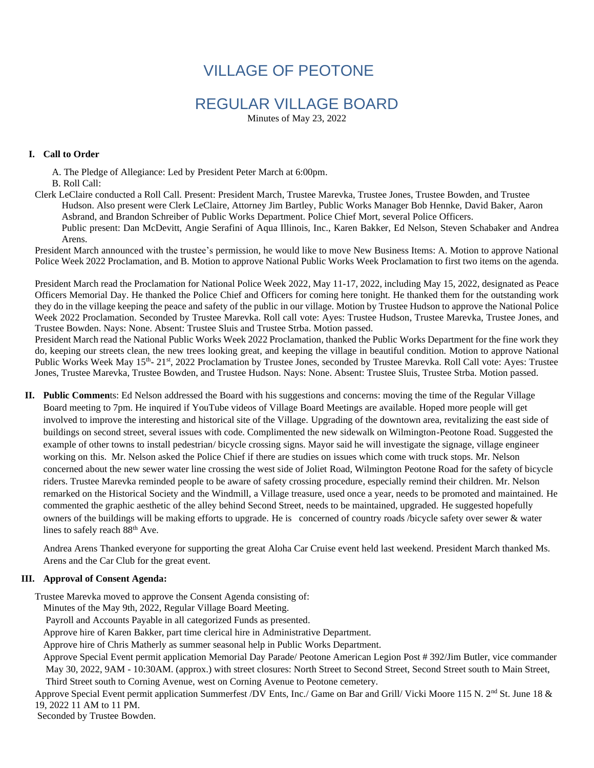# VILLAGE OF PEOTONE

# REGULAR VILLAGE BOARD

Minutes of May 23, 2022

#### **I. Call to Order**

 A. The Pledge of Allegiance: Led by President Peter March at 6:00pm. B. Roll Call:

Clerk LeClaire conducted a Roll Call. Present: President March, Trustee Marevka, Trustee Jones, Trustee Bowden, and Trustee Hudson. Also present were Clerk LeClaire, Attorney Jim Bartley, Public Works Manager Bob Hennke, David Baker, Aaron Asbrand, and Brandon Schreiber of Public Works Department. Police Chief Mort, several Police Officers. Public present: Dan McDevitt, Angie Serafini of Aqua Illinois, Inc., Karen Bakker, Ed Nelson, Steven Schabaker and Andrea Arens.

President March announced with the trustee's permission, he would like to move New Business Items: A. Motion to approve National Police Week 2022 Proclamation, and B. Motion to approve National Public Works Week Proclamation to first two items on the agenda.

President March read the Proclamation for National Police Week 2022, May 11-17, 2022, including May 15, 2022, designated as Peace Officers Memorial Day. He thanked the Police Chief and Officers for coming here tonight. He thanked them for the outstanding work they do in the village keeping the peace and safety of the public in our village. Motion by Trustee Hudson to approve the National Police Week 2022 Proclamation. Seconded by Trustee Marevka. Roll call vote: Ayes: Trustee Hudson, Trustee Marevka, Trustee Jones, and Trustee Bowden. Nays: None. Absent: Trustee Sluis and Trustee Strba. Motion passed.

President March read the National Public Works Week 2022 Proclamation, thanked the Public Works Department for the fine work they do, keeping our streets clean, the new trees looking great, and keeping the village in beautiful condition. Motion to approve National Public Works Week May 15<sup>th</sup>- 21<sup>st</sup>, 2022 Proclamation by Trustee Jones, seconded by Trustee Marevka. Roll Call vote: Ayes: Trustee Jones, Trustee Marevka, Trustee Bowden, and Trustee Hudson. Nays: None. Absent: Trustee Sluis, Trustee Strba. Motion passed.

**II. Public Commen**ts: Ed Nelson addressed the Board with his suggestions and concerns: moving the time of the Regular Village Board meeting to 7pm. He inquired if YouTube videos of Village Board Meetings are available. Hoped more people will get involved to improve the interesting and historical site of the Village. Upgrading of the downtown area, revitalizing the east side of buildings on second street, several issues with code. Complimented the new sidewalk on Wilmington-Peotone Road. Suggested the example of other towns to install pedestrian/ bicycle crossing signs. Mayor said he will investigate the signage, village engineer working on this. Mr. Nelson asked the Police Chief if there are studies on issues which come with truck stops. Mr. Nelson concerned about the new sewer water line crossing the west side of Joliet Road, Wilmington Peotone Road for the safety of bicycle riders. Trustee Marevka reminded people to be aware of safety crossing procedure, especially remind their children. Mr. Nelson remarked on the Historical Society and the Windmill, a Village treasure, used once a year, needs to be promoted and maintained. He commented the graphic aesthetic of the alley behind Second Street, needs to be maintained, upgraded. He suggested hopefully owners of the buildings will be making efforts to upgrade. He is concerned of country roads /bicycle safety over sewer & water lines to safely reach 88<sup>th</sup> Ave.

Andrea Arens Thanked everyone for supporting the great Aloha Car Cruise event held last weekend. President March thanked Ms. Arens and the Car Club for the great event.

#### **III. Approval of Consent Agenda:**

Trustee Marevka moved to approve the Consent Agenda consisting of:

Minutes of the May 9th, 2022, Regular Village Board Meeting.

Payroll and Accounts Payable in all categorized Funds as presented.

Approve hire of Karen Bakker, part time clerical hire in Administrative Department.

Approve hire of Chris Matherly as summer seasonal help in Public Works Department.

Approve Special Event permit application Memorial Day Parade/ Peotone American Legion Post # 392/Jim Butler, vice commander May 30, 2022, 9AM - 10:30AM. (approx.) with street closures: North Street to Second Street, Second Street south to Main Street, Third Street south to Corning Avenue, west on Corning Avenue to Peotone cemetery.

Approve Special Event permit application Summerfest /DV Ents, Inc./ Game on Bar and Grill/ Vicki Moore 115 N. 2<sup>nd</sup> St. June 18 & 19, 2022 11 AM to 11 PM.

Seconded by Trustee Bowden.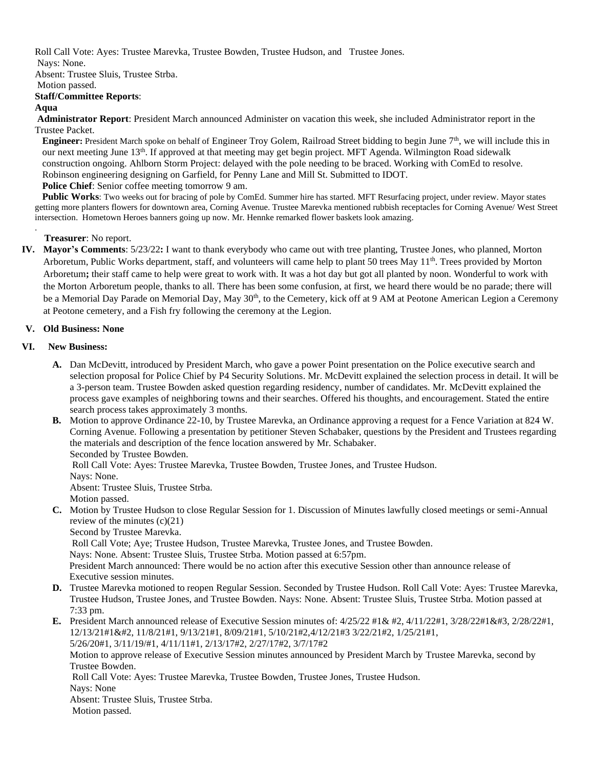Roll Call Vote: Ayes: Trustee Marevka, Trustee Bowden, Trustee Hudson, and Trustee Jones. Nays: None.

Absent: Trustee Sluis, Trustee Strba.

#### Motion passed.

### **Staff/Committee Reports**:

### **Aqua**

.

**Administrator Report**: President March announced Administer on vacation this week, she included Administrator report in the Trustee Packet.

**Engineer**: President March spoke on behalf of Engineer Troy Golem, Railroad Street bidding to begin June 7<sup>th</sup>, we will include this in our next meeting June 13<sup>th</sup>. If approved at that meeting may get begin project. MFT Agenda. Wilmington Road sidewalk construction ongoing. Ahlborn Storm Project: delayed with the pole needing to be braced. Working with ComEd to resolve. Robinson engineering designing on Garfield, for Penny Lane and Mill St. Submitted to IDOT. **Police Chief**: Senior coffee meeting tomorrow 9 am.

Public Works: Two weeks out for bracing of pole by ComEd. Summer hire has started. MFT Resurfacing project, under review. Mayor states getting more planters flowers for downtown area, Corning Avenue. Trustee Marevka mentioned rubbish receptacles for Corning Avenue/ West Street intersection. Hometown Heroes banners going up now. Mr. Hennke remarked flower baskets look amazing.

### **Treasurer**: No report.

**IV. Mayor's Comments**: 5/23/22**:** I want to thank everybody who came out with tree planting, Trustee Jones, who planned, Morton Arboretum, Public Works department, staff, and volunteers will came help to plant 50 trees May 11<sup>th</sup>. Trees provided by Morton Arboretum**;** their staff came to help were great to work with. It was a hot day but got all planted by noon. Wonderful to work with the Morton Arboretum people, thanks to all. There has been some confusion, at first, we heard there would be no parade; there will be a Memorial Day Parade on Memorial Day, May 30<sup>th</sup>, to the Cemetery, kick off at 9 AM at Peotone American Legion a Ceremony at Peotone cemetery, and a Fish fry following the ceremony at the Legion.

### **V. Old Business: None**

## **VI. New Business:**

- **A.** Dan McDevitt, introduced by President March, who gave a power Point presentation on the Police executive search and selection proposal for Police Chief by P4 Security Solutions. Mr. McDevitt explained the selection process in detail. It will be a 3-person team. Trustee Bowden asked question regarding residency, number of candidates. Mr. McDevitt explained the process gave examples of neighboring towns and their searches. Offered his thoughts, and encouragement. Stated the entire search process takes approximately 3 months.
- **B.** Motion to approve Ordinance 22-10, by Trustee Marevka, an Ordinance approving a request for a Fence Variation at 824 W. Corning Avenue. Following a presentation by petitioner Steven Schabaker, questions by the President and Trustees regarding the materials and description of the fence location answered by Mr. Schabaker.

Seconded by Trustee Bowden.

Roll Call Vote: Ayes: Trustee Marevka, Trustee Bowden, Trustee Jones, and Trustee Hudson.

Nays: None. Absent: Trustee Sluis, Trustee Strba.

Motion passed.

**C.** Motion by Trustee Hudson to close Regular Session for 1. Discussion of Minutes lawfully closed meetings or semi-Annual review of the minutes (c)(21)

Second by Trustee Marevka.

Roll Call Vote; Aye; Trustee Hudson, Trustee Marevka, Trustee Jones, and Trustee Bowden.

Nays: None. Absent: Trustee Sluis, Trustee Strba. Motion passed at 6:57pm.

 President March announced: There would be no action after this executive Session other than announce release of Executive session minutes.

- **D.** Trustee Marevka motioned to reopen Regular Session. Seconded by Trustee Hudson. Roll Call Vote: Ayes: Trustee Marevka, Trustee Hudson, Trustee Jones, and Trustee Bowden. Nays: None. Absent: Trustee Sluis, Trustee Strba. Motion passed at 7:33 pm.
- **E.** President March announced release of Executive Session minutes of:  $4/25/22$  #1& #2,  $4/11/22$  #1,  $3/28/22$  #1& #3,  $2/28/22$  #1, 12/13/21#1&#2, 11/8/21#1, 9/13/21#1, 8/09/21#1, 5/10/21#2,4/12/21#3 3/22/21#2, 1/25/21#1, 5/26/20#1, 3/11/19/#1, 4/11/11#1, 2/13/17#2, 2/27/17#2, 3/7/17#2

Motion to approve release of Executive Session minutes announced by President March by Trustee Marevka, second by Trustee Bowden.

Roll Call Vote: Ayes: Trustee Marevka, Trustee Bowden, Trustee Jones, Trustee Hudson. Nays: None

Absent: Trustee Sluis, Trustee Strba.

Motion passed.